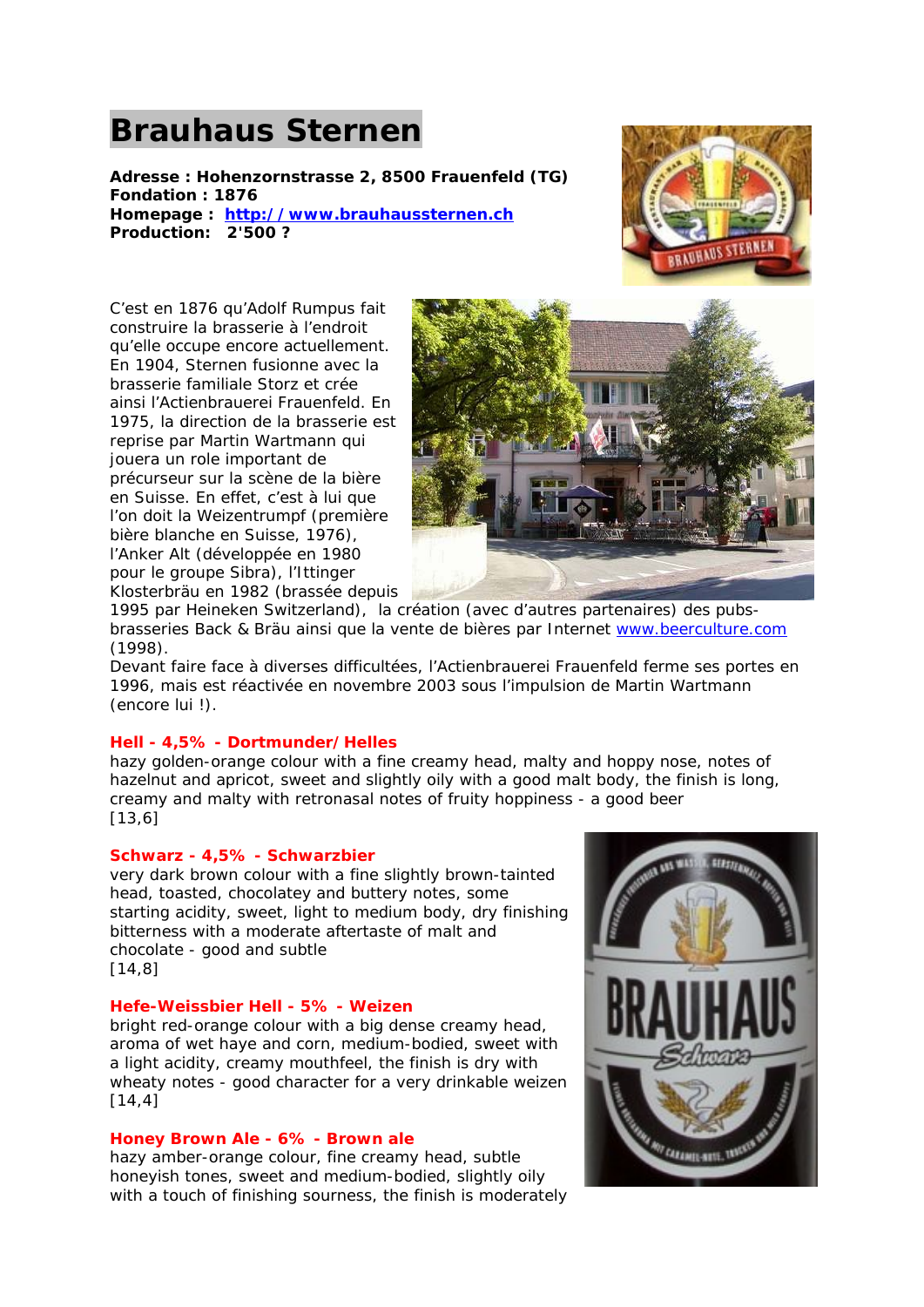# **Brauhaus Sternen**

**Adresse : Hohenzornstrasse 2, 8500 Frauenfeld (TG) Fondation : 1876 Homepage : http://www.brauhaussternen.ch Production: 2'500 ?**



C'est en 1876 qu'Adolf Rumpus fait construire la brasserie à l'endroit qu'elle occupe encore actuellement. En 1904, Sternen fusionne avec la brasserie familiale Storz et crée ainsi l'Actienbrauerei Frauenfeld. En 1975, la direction de la brasserie est reprise par Martin Wartmann qui jouera un role important de précurseur sur la scène de la bière en Suisse. En effet, c'est à lui que l'on doit la Weizentrumpf (première bière blanche en Suisse, 1976), l'Anker Alt (développée en 1980 pour le groupe Sibra), l'Ittinger Klosterbräu en 1982 (brassée depuis



1995 par Heineken Switzerland), la création (avec d'autres partenaires) des pubsbrasseries Back & Bräu ainsi que la vente de bières par Internet www.beerculture.com (1998).

Devant faire face à diverses difficultées, l'Actienbrauerei Frauenfeld ferme ses portes en 1996, mais est réactivée en novembre 2003 sous l'impulsion de Martin Wartmann (encore lui !).

# **Hell - 4,5% - Dortmunder/Helles**

hazy golden-orange colour with a fine creamy head, malty and hoppy nose, notes of hazelnut and apricot, sweet and slightly oily with a good malt body, the finish is long, creamy and malty with retronasal notes of fruity hoppiness - a good beer [13,6]

#### **Schwarz - 4,5% - Schwarzbier**

very dark brown colour with a fine slightly brown-tainted head, toasted, chocolatey and buttery notes, some starting acidity, sweet, light to medium body, dry finishing bitterness with a moderate aftertaste of malt and chocolate - good and subtle [14,8]

#### **Hefe-Weissbier Hell - 5% - Weizen**

bright red-orange colour with a big dense creamy head, aroma of wet haye and corn, medium-bodied, sweet with a light acidity, creamy mouthfeel, the finish is dry with wheaty notes - good character for a very drinkable weizen [14,4]

#### **Honey Brown Ale - 6% - Brown ale**

hazy amber-orange colour, fine creamy head, subtle honeyish tones, sweet and medium-bodied, slightly oily with a touch of finishing sourness, the finish is moderately